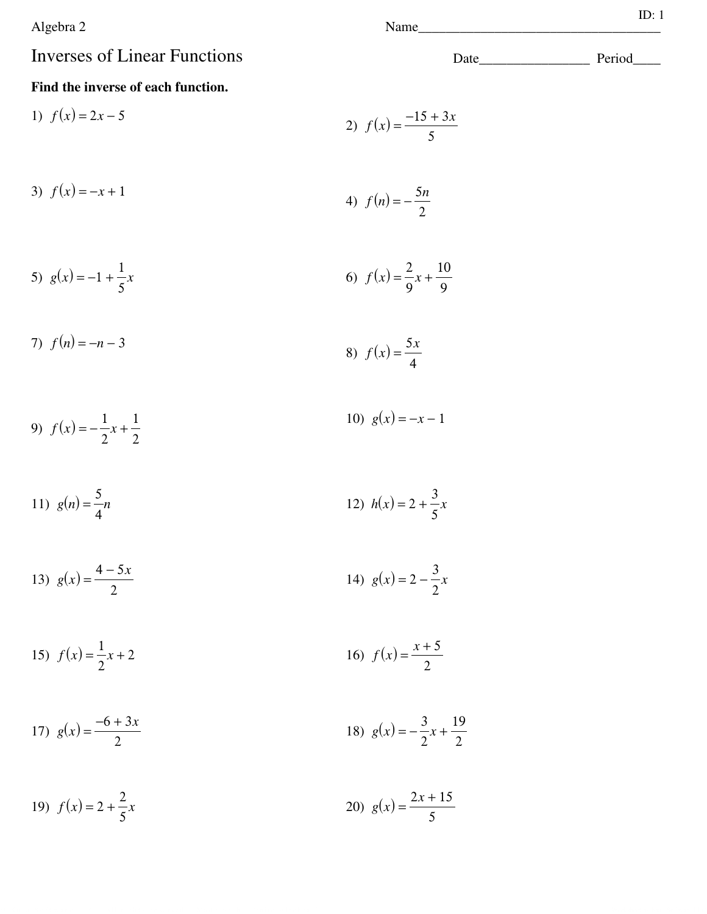Algebra 2

## Inverses of Linear Functions Date\_\_\_\_\_\_\_\_\_\_\_\_\_\_\_\_ Period\_\_\_\_

## **Find the inverse of each function.**

1) 
$$
f(x) = 2x - 5
$$
  
2)  $f(x) = \frac{-15 + 3x}{5}$ 

3) 
$$
f(x) = -x + 1
$$
  
4)  $f(n) = -\frac{5n}{2}$ 

5) 
$$
g(x) = -1 + \frac{1}{5}x
$$
   
6)  $f(x) = \frac{2}{9}x + \frac{10}{9}$ 

7) 
$$
f(n) = -n - 3
$$
  
8)  $f(x) = \frac{5x}{4}$ 

9) 
$$
f(x) = -\frac{1}{2}x + \frac{1}{2}
$$
 10)  $g(x) = -x - 1$ 

11) 
$$
g(n) = \frac{5}{4}n
$$
  
12)  $h(x) = 2 + \frac{3}{5}x$ 

13) 
$$
g(x) = \frac{4-5x}{2}
$$
 14)  $g(x) = 2 - \frac{3}{2}x$ 

15) 
$$
f(x) = \frac{1}{2}x + 2
$$
  
16)  $f(x) = \frac{x + 5}{2}$ 

17) 
$$
g(x) = \frac{-6+3x}{2}
$$
 18)  $g(x) = -\frac{3}{2}x + \frac{19}{2}$ 

19) 
$$
f(x) = 2 + \frac{2}{5}x
$$
  
20)  $g(x) = \frac{2x + 15}{5}$ 

ID: 1

$$
f(x) = \frac{-15 + 3x}{}
$$

$$
4) f(n) = -\frac{5n}{2}
$$